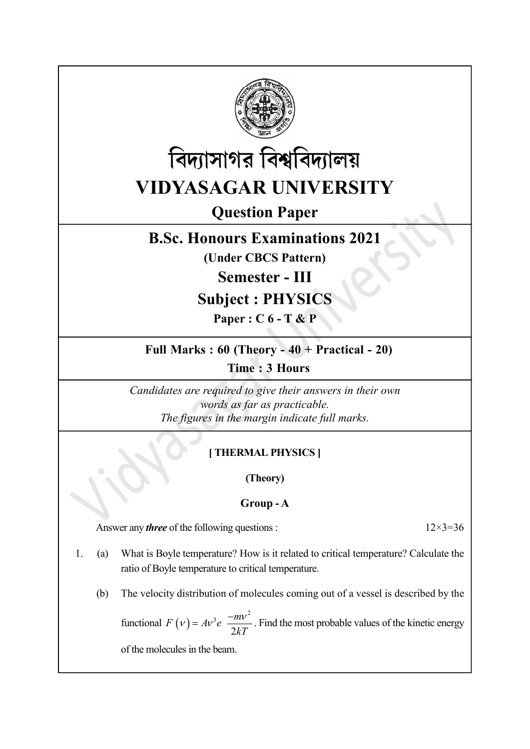



# Question Paper

# B.Sc. Honours Examinations 2021

(Under CBCS Pattern)

Semester - III

# Subject : PHYSICS

Paper : C 6 - T & P

# Full Marks : 60 (Theory - 40 + Practical - 20)

Time : 3 Hours

Candidates are required to give their answers in their own words as far as practicable. The figures in the margin indicate full marks.

# [ THERMAL PHYSICS ]

(Theory)

## Group - A

Answer any *three* of the following questions :  $12 \times 3 = 36$ 

- 1. (a) What is Boyle temperature? How is it related to critical temperature? Calculate the ratio of Boyle temperature to critical temperature.
	- (b) The velocity distribution of molecules coming out of a vessel is described by the

Candidates are required to give their answers in their own<br>words as far as practicable.<br>The figures in the margin indicate full marks.<br>
[THERMAL PHYSICS]<br>
(Theory)<br>
Group - A<br>
<br>
are of the following questions:<br>  $12 \times 3=36$  $3 \frac{-mv^2}{2}$  $\overline{2}$  $F(v) = Av^3e^{-m\nu}$  $kT$  $(v) = Av^3e^{-mv^2}$ . Find the most probable values of the kinetic energy

of the molecules in the beam.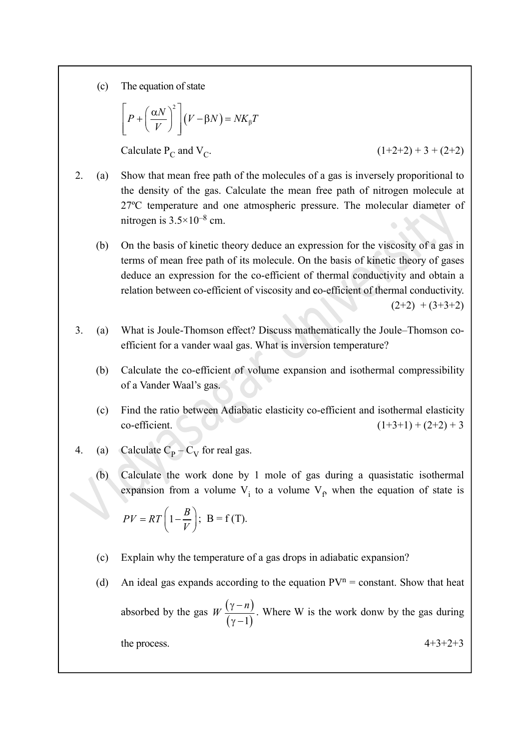(c) The equation of state

The equation of state  
\n
$$
\left[ P + \left( \frac{\alpha N}{V} \right)^2 \right] (V - \beta N) = N K_{\beta} T
$$
\nCalculate P<sub>C</sub> and V<sub>C</sub>. (1+2+2) + 3 + (2+2)  
\n  
\nShow that mean from each of the molecules of a case is inversely proportional to

Calculate  $P_C$  and  $V_C$ .

 $(1+2+2) + 3 + (2+2)$ 

- 2. (a) Show that mean free path of the molecules of a gas is inversely proporitional to the density of the gas. Calculate the mean free path of nitrogen molecule at 27ºC temperature and one atmospheric pressure. The molecular diameter of nitrogen is  $3.5 \times 10^{-8}$  cm.
	- (b) On the basis of kinetic theory deduce an expression for the viscosity of a gas in terms of mean free path of its molecule. On the basis of kinetic theory of gases deduce an expression for the co-efficient of thermal conductivity and obtain a relation between co-efficient of viscosity and co-efficient of thermal conductivity.  $(2+2) + (3+3+2)$
- 3. (a) What is Joule-Thomson effect? Discuss mathematically the Joule–Thomson coefficient for a vander waal gas. What is inversion temperature?
	- (b) Calculate the co-efficient of volume expansion and isothermal compressibility of a Vander Waal's gas.
	- (c) Find the ratio between Adiabatic elasticity co-efficient and isothermal elasticity co-efficient.  $(1+3+1) + (2+2) + 3$
- 4. (a) Calculate  $C_{\rm p}-C_{\rm V}$  for real gas.
	- (b) Calculate the work done by 1 mole of gas during a quasistatic isothermal expansion from a volume  $V_i$  to a volume  $V_f$ , when the equation of state is

$$
PV = RT\left(1 - \frac{B}{V}\right); \ \mathbf{B} = \mathbf{f}(\mathbf{T}).
$$

- (c) Explain why the temperature of a gas drops in adiabatic expansion?
- (d) An ideal gas expands according to the equation  $PV^n = constant$ . Show that heat absorbed by the gas  $W\left(\gamma-n\right)$ . Where W is the wo diabatic elasticity co-efficient and isothermal elasticity<br>  $(1+3+1) + (2+2) + 3$ <br>
al gas.<br>
ne by 1 mole of gas during a quasistatic isothermal<br>
ne V<sub>i</sub> to a volume V<sub>p</sub> when the equation of state is<br>
f(T).<br>
ture of a gas dr  $\overline{\gamma-1}$  $W\left(\frac{\gamma-n}{\gamma}\right)$ . Where W is the work donw by the gas during

the process.  $4+3+2+3$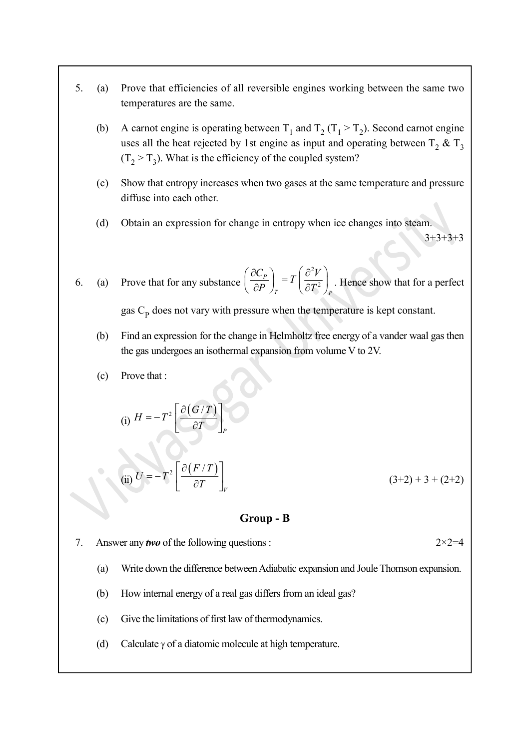- 5. (a) Prove that efficiencies of all reversible engines working between the same two temperatures are the same.
	- (b) A carnot engine is operating between  $T_1$  and  $T_2$  ( $T_1 > T_2$ ). Second carnot engine uses all the heat rejected by 1st engine as input and operating between  $T_2 \& T_3$  $(T_2 > T_3)$ . What is the efficiency of the coupled system?
	- (c) Show that entropy increases when two gases at the same temperature and pressure diffuse into each other.
	- (d) Obtain an expression for change in entropy when ice changes into steam.

 $3+3+3+3$ 

6. (a) Prove that for any substance 2 2 P T P  $\left(\frac{C_P}{\partial P}\right)_T = T\left(\frac{\partial^2 V}{\partial T^2}\right)$  $\left(\begin{array}{c} \partial C_P \end{array}\right)$   $\left(\begin{array}{c} \partial^2 V \end{array}\right)$  $\left(\frac{\partial C_P}{\partial P}\right)_T = T \left(\frac{\partial V}{\partial T^2}\right)_P$ . Hence show that for a perfect

gas  $C_p$  does not vary with pressure when the temperature is kept constant.

- (b) Find an expression for the change in Helmholtz free energy of a vander waal gas then the gas undergoes an isothermal expansion from volume V to 2V.
- (c) Prove that :

(i) 
$$
H = -T^2 \left[ \frac{\partial (G/T)}{\partial T} \right]_P
$$

(ii) 
$$
U = -T^2 \left[ \frac{\partial (F/T)}{\partial T} \right]_V
$$
 (3+2) + 3 + (2+2)

#### Group - B

- 7. Answer any *two* of the following questions :  $2 \times 2 = 4$ 
	- (a) Write down the difference between Adiabatic expansion and Joule Thomson expansion.
	- (b) How internal energy of a real gas differs from an ideal gas?
	- (c) Give the limitations of first law of thermodynamics.
	- (d) Calculate  $\gamma$  of a diatomic molecule at high temperature.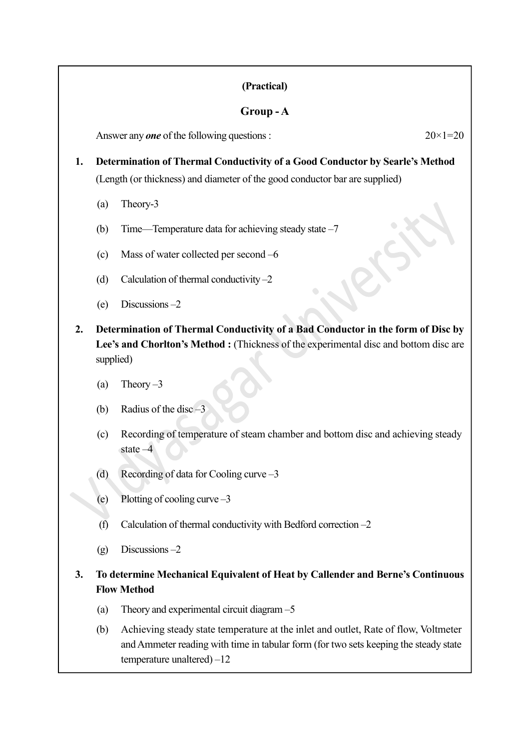### (Practical)

## Group - A

Answer any *one* of the following questions :  $20 \times 1 = 20$ 

# 1. Determination of Thermal Conductivity of a Good Conductor by Searle's Method

(Length (or thickness) and diameter of the good conductor bar are supplied)

- (a) Theory-3
- (b) Time—Temperature data for achieving steady state –7
- (c) Mass of water collected per second –6
- (d) Calculation of thermal conductivity  $-2$
- (e) Discussions –2
- 2. Determination of Thermal Conductivity of a Bad Conductor in the form of Disc by Lee's and Chorlton's Method : (Thickness of the experimental disc and bottom disc are supplied)
	- (a) Theory  $-3$
	- (b) Radius of the disc –3
	- (c) Recording of temperature of steam chamber and bottom disc and achieving steady state –4
	- (d) Recording of data for Cooling curve –3
	- (e) Plotting of cooling curve –3
	- (f) Calculation of thermal conductivity with Bedford correction  $-2$
	- $(g)$  Discussions  $-2$

## 3. To determine Mechanical Equivalent of Heat by Callender and Berne's Continuous Flow Method

- (a) Theory and experimental circuit diagram –5
- (b) Achieving steady state temperature at the inlet and outlet, Rate of flow, Voltmeter and Ammeter reading with time in tabular form (for two sets keeping the steady state temperature unaltered) –12